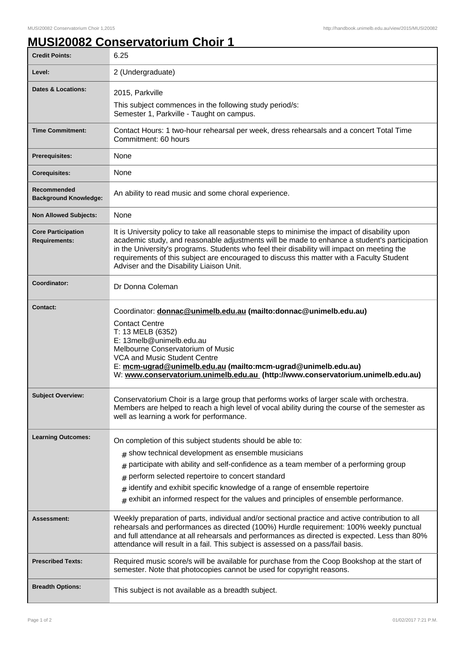## **MUSI20082 Conservatorium Choir 1**

| <b>Credit Points:</b>                             | 6.25                                                                                                                                                                                                                                                                                                                                                                                                                                              |
|---------------------------------------------------|---------------------------------------------------------------------------------------------------------------------------------------------------------------------------------------------------------------------------------------------------------------------------------------------------------------------------------------------------------------------------------------------------------------------------------------------------|
| Level:                                            | 2 (Undergraduate)                                                                                                                                                                                                                                                                                                                                                                                                                                 |
| <b>Dates &amp; Locations:</b>                     | 2015, Parkville                                                                                                                                                                                                                                                                                                                                                                                                                                   |
|                                                   | This subject commences in the following study period/s:<br>Semester 1, Parkville - Taught on campus.                                                                                                                                                                                                                                                                                                                                              |
| <b>Time Commitment:</b>                           | Contact Hours: 1 two-hour rehearsal per week, dress rehearsals and a concert Total Time<br>Commitment: 60 hours                                                                                                                                                                                                                                                                                                                                   |
| <b>Prerequisites:</b>                             | None                                                                                                                                                                                                                                                                                                                                                                                                                                              |
| <b>Corequisites:</b>                              | None                                                                                                                                                                                                                                                                                                                                                                                                                                              |
| Recommended<br><b>Background Knowledge:</b>       | An ability to read music and some choral experience.                                                                                                                                                                                                                                                                                                                                                                                              |
| <b>Non Allowed Subjects:</b>                      | None                                                                                                                                                                                                                                                                                                                                                                                                                                              |
| <b>Core Participation</b><br><b>Requirements:</b> | It is University policy to take all reasonable steps to minimise the impact of disability upon<br>academic study, and reasonable adjustments will be made to enhance a student's participation<br>in the University's programs. Students who feel their disability will impact on meeting the<br>requirements of this subject are encouraged to discuss this matter with a Faculty Student<br>Adviser and the Disability Liaison Unit.            |
| Coordinator:                                      | Dr Donna Coleman                                                                                                                                                                                                                                                                                                                                                                                                                                  |
| <b>Contact:</b>                                   | Coordinator: donnac@unimelb.edu.au (mailto:donnac@unimelb.edu.au)<br><b>Contact Centre</b><br>T: 13 MELB (6352)<br>E: 13melb@unimelb.edu.au<br>Melbourne Conservatorium of Music<br>VCA and Music Student Centre<br>E: mcm-ugrad@unimelb.edu.au (mailto:mcm-ugrad@unimelb.edu.au)<br>W: www.conservatorium.unimelb.edu.au (http://www.conservatorium.unimelb.edu.au)                                                                              |
| <b>Subject Overview:</b>                          | Conservatorium Choir is a large group that performs works of larger scale with orchestra.<br>Members are helped to reach a high level of vocal ability during the course of the semester as<br>well as learning a work for performance.                                                                                                                                                                                                           |
| <b>Learning Outcomes:</b>                         | On completion of this subject students should be able to:<br>$#$ show technical development as ensemble musicians<br>participate with ability and self-confidence as a team member of a performing group<br>#<br>perform selected repertoire to concert standard<br>#<br>identify and exhibit specific knowledge of a range of ensemble repertoire<br>#<br>$#$ exhibit an informed respect for the values and principles of ensemble performance. |
| Assessment:                                       | Weekly preparation of parts, individual and/or sectional practice and active contribution to all<br>rehearsals and performances as directed (100%) Hurdle requirement: 100% weekly punctual<br>and full attendance at all rehearsals and performances as directed is expected. Less than 80%<br>attendance will result in a fail. This subject is assessed on a pass/fail basis.                                                                  |
| <b>Prescribed Texts:</b>                          | Required music score/s will be available for purchase from the Coop Bookshop at the start of<br>semester. Note that photocopies cannot be used for copyright reasons.                                                                                                                                                                                                                                                                             |
| <b>Breadth Options:</b>                           | This subject is not available as a breadth subject.                                                                                                                                                                                                                                                                                                                                                                                               |